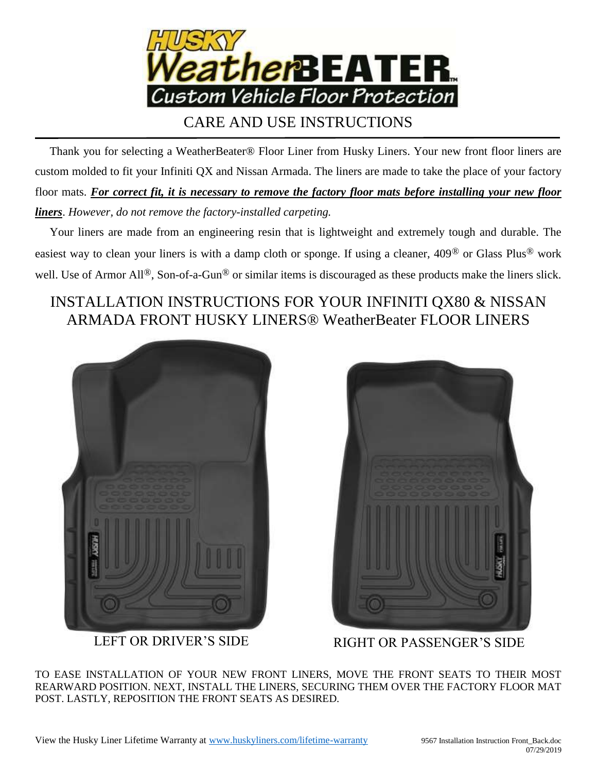

## CARE AND USE INSTRUCTIONS

 Thank you for selecting a WeatherBeater® Floor Liner from Husky Liners. Your new front floor liners are custom molded to fit your Infiniti QX and Nissan Armada. The liners are made to take the place of your factory floor mats. *For correct fit, it is necessary to remove the factory floor mats before installing your new floor liners*. *However, do not remove the factory-installed carpeting.*

 Your liners are made from an engineering resin that is lightweight and extremely tough and durable. The easiest way to clean your liners is with a damp cloth or sponge. If using a cleaner, 409® or Glass Plus® work well. Use of Armor All<sup>®</sup>, Son-of-a-Gun<sup>®</sup> or similar items is discouraged as these products make the liners slick.

## INSTALLATION INSTRUCTIONS FOR YOUR INFINITI QX80 & NISSAN ARMADA FRONT HUSKY LINERS® WeatherBeater FLOOR LINERS





LEFT OR DRIVER'S SIDE RIGHT OR PASSENGER'S SIDE

TO EASE INSTALLATION OF YOUR NEW FRONT LINERS, MOVE THE FRONT SEATS TO THEIR MOST REARWARD POSITION. NEXT, INSTALL THE LINERS, SECURING THEM OVER THE FACTORY FLOOR MAT POST. LASTLY, REPOSITION THE FRONT SEATS AS DESIRED.